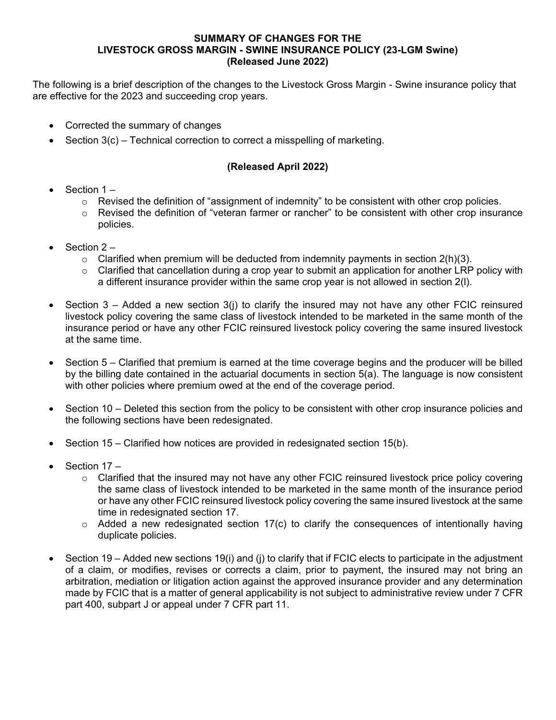# **SUMMARY OF CHANGES FOR THE LIVESTOCK GROSS MARGIN - SWINE INSURANCE POLICY (23-LGM Swine) (Released June 2022)**

The following is a brief description of the changes to the Livestock Gross Margin - Swine insurance policy that are effective for the 2023 and succeeding crop years.

- Corrected the summary of changes
- Section  $3(c)$  Technical correction to correct a misspelling of marketing.

# **(Released April 2022)**

- Section 1
	- $\circ$  Revised the definition of "assignment of indemnity" to be consistent with other crop policies.
	- o Revised the definition of "veteran farmer or rancher" to be consistent with other crop insurance policies.
- Section 2
	- $\circ$  Clarified when premium will be deducted from indemnity payments in section 2(h)(3).
	- $\circ$  Clarified that cancellation during a crop year to submit an application for another LRP policy with a different insurance provider within the same crop year is not allowed in section 2(l).
- Section  $3 -$  Added a new section  $3(i)$  to clarify the insured may not have any other FCIC reinsured livestock policy covering the same class of livestock intended to be marketed in the same month of the insurance period or have any other FCIC reinsured livestock policy covering the same insured livestock at the same time.
- Section 5 Clarified that premium is earned at the time coverage begins and the producer will be billed by the billing date contained in the actuarial documents in section 5(a). The language is now consistent with other policies where premium owed at the end of the coverage period.
- Section 10 Deleted this section from the policy to be consistent with other crop insurance policies and the following sections have been redesignated.
- Section 15 Clarified how notices are provided in redesignated section 15(b).
- Section 17 -
	- $\circ$  Clarified that the insured may not have any other FCIC reinsured livestock price policy covering the same class of livestock intended to be marketed in the same month of the insurance period or have any other FCIC reinsured livestock policy covering the same insured livestock at the same time in redesignated section 17.
	- $\circ$  Added a new redesignated section 17(c) to clarify the consequences of intentionally having duplicate policies.
- Section 19 Added new sections 19(i) and (j) to clarify that if FCIC elects to participate in the adjustment of a claim, or modifies, revises or corrects a claim, prior to payment, the insured may not bring an arbitration, mediation or litigation action against the approved insurance provider and any determination made by FCIC that is a matter of general applicability is not subject to administrative review under 7 CFR part 400, subpart J or appeal under 7 CFR part 11.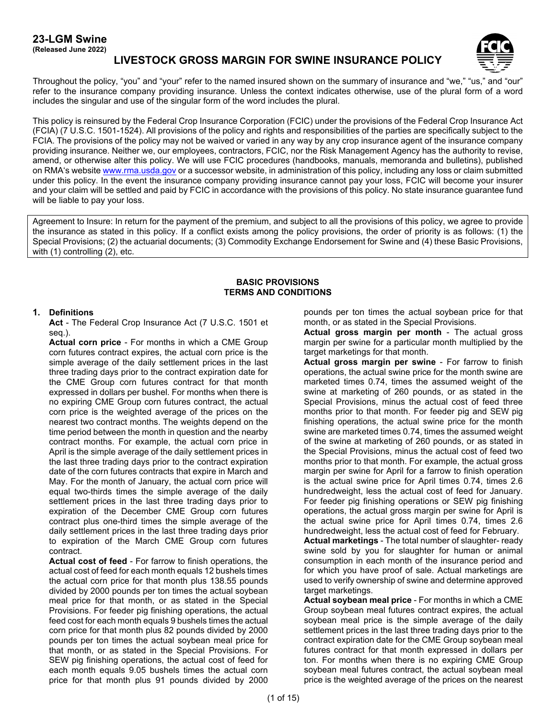#### **23-LGM Swine (Released June 2022)**

**LIVESTOCK GROSS MARGIN FOR SWINE INSURANCE POLICY**



Throughout the policy, "you" and "your" refer to the named insured shown on the summary of insurance and "we," "us," and "our" refer to the insurance company providing insurance. Unless the context indicates otherwise, use of the plural form of a word includes the singular and use of the singular form of the word includes the plural.

This policy is reinsured by the Federal Crop Insurance Corporation (FCIC) under the provisions of the Federal Crop Insurance Act (FCIA) (7 U.S.C. 1501-1524). All provisions of the policy and rights and responsibilities of the parties are specifically subject to the FCIA. The provisions of the policy may not be waived or varied in any way by any crop insurance agent of the insurance company providing insurance. Neither we, our employees, contractors, FCIC, nor the Risk Management Agency has the authority to revise, amend, or otherwise alter this policy. We will use FCIC procedures (handbooks, manuals, memoranda and bulletins), published on RMA's websit[e www.rma.usda.gov](https://www.rma.usda.gov/) or a successor website, in administration of this policy, including any loss or claim submitted under this policy. In the event the insurance company providing insurance cannot pay your loss, FCIC will become your insurer and your claim will be settled and paid by FCIC in accordance with the provisions of this policy. No state insurance guarantee fund will be liable to pay your loss.

Agreement to Insure: In return for the payment of the premium, and subject to all the provisions of this policy, we agree to provide the insurance as stated in this policy. If a conflict exists among the policy provisions, the order of priority is as follows: (1) the Special Provisions; (2) the actuarial documents; (3) Commodity Exchange Endorsement for Swine and (4) these Basic Provisions, with (1) controlling (2), etc.

### **BASIC PROVISIONS TERMS AND CONDITIONS**

### **1. Definitions**

**Act** - The Federal Crop Insurance Act (7 U.S.C. 1501 et seq.).

**Actual corn price** - For months in which a CME Group corn futures contract expires, the actual corn price is the simple average of the daily settlement prices in the last three trading days prior to the contract expiration date for the CME Group corn futures contract for that month expressed in dollars per bushel. For months when there is no expiring CME Group corn futures contract, the actual corn price is the weighted average of the prices on the nearest two contract months. The weights depend on the time period between the month in question and the nearby contract months. For example, the actual corn price in April is the simple average of the daily settlement prices in the last three trading days prior to the contract expiration date of the corn futures contracts that expire in March and May. For the month of January, the actual corn price will equal two-thirds times the simple average of the daily settlement prices in the last three trading days prior to expiration of the December CME Group corn futures contract plus one-third times the simple average of the daily settlement prices in the last three trading days prior to expiration of the March CME Group corn futures contract.

**Actual cost of feed** - For farrow to finish operations, the actual cost of feed for each month equals 12 bushels times the actual corn price for that month plus 138.55 pounds divided by 2000 pounds per ton times the actual soybean meal price for that month, or as stated in the Special Provisions. For feeder pig finishing operations, the actual feed cost for each month equals 9 bushels times the actual corn price for that month plus 82 pounds divided by 2000 pounds per ton times the actual soybean meal price for that month, or as stated in the Special Provisions. For SEW pig finishing operations, the actual cost of feed for each month equals 9.05 bushels times the actual corn price for that month plus 91 pounds divided by 2000 pounds per ton times the actual soybean price for that month, or as stated in the Special Provisions.

**Actual gross margin per month** - The actual gross margin per swine for a particular month multiplied by the target marketings for that month.

**Actual gross margin per swine** - For farrow to finish operations, the actual swine price for the month swine are marketed times 0.74, times the assumed weight of the swine at marketing of 260 pounds, or as stated in the Special Provisions, minus the actual cost of feed three months prior to that month. For feeder pig and SEW pig finishing operations, the actual swine price for the month swine are marketed times 0.74, times the assumed weight of the swine at marketing of 260 pounds, or as stated in the Special Provisions, minus the actual cost of feed two months prior to that month. For example, the actual gross margin per swine for April for a farrow to finish operation is the actual swine price for April times 0.74, times 2.6 hundredweight, less the actual cost of feed for January. For feeder pig finishing operations or SEW pig finishing operations, the actual gross margin per swine for April is the actual swine price for April times 0.74, times 2.6 hundredweight, less the actual cost of feed for February.

**Actual marketings** - The total number of slaughter- ready swine sold by you for slaughter for human or animal consumption in each month of the insurance period and for which you have proof of sale. Actual marketings are used to verify ownership of swine and determine approved target marketings.

**Actual soybean meal price** - For months in which a CME Group soybean meal futures contract expires, the actual soybean meal price is the simple average of the daily settlement prices in the last three trading days prior to the contract expiration date for the CME Group soybean meal futures contract for that month expressed in dollars per ton. For months when there is no expiring CME Group soybean meal futures contract, the actual soybean meal price is the weighted average of the prices on the nearest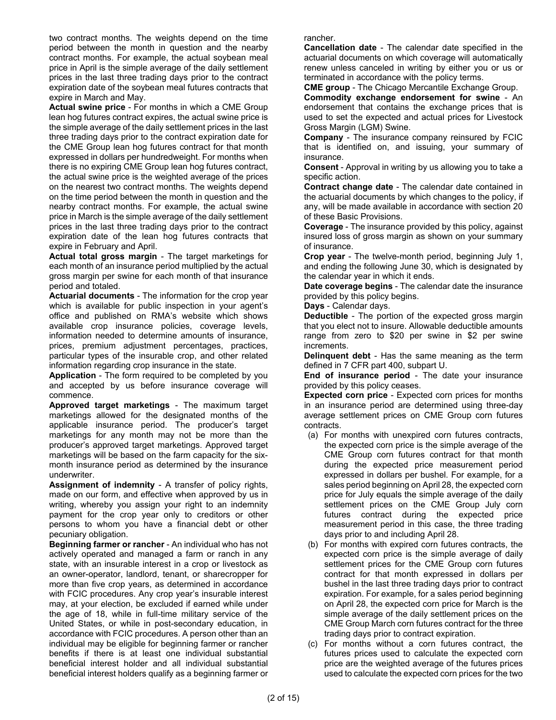two contract months. The weights depend on the time period between the month in question and the nearby contract months. For example, the actual soybean meal price in April is the simple average of the daily settlement prices in the last three trading days prior to the contract expiration date of the soybean meal futures contracts that expire in March and May.

**Actual swine price** - For months in which a CME Group lean hog futures contract expires, the actual swine price is the simple average of the daily settlement prices in the last three trading days prior to the contract expiration date for the CME Group lean hog futures contract for that month expressed in dollars per hundredweight. For months when there is no expiring CME Group lean hog futures contract, the actual swine price is the weighted average of the prices on the nearest two contract months. The weights depend on the time period between the month in question and the nearby contract months. For example, the actual swine price in March is the simple average of the daily settlement prices in the last three trading days prior to the contract expiration date of the lean hog futures contracts that expire in February and April.

**Actual total gross margin** - The target marketings for each month of an insurance period multiplied by the actual gross margin per swine for each month of that insurance period and totaled.

**Actuarial documents** - The information for the crop year which is available for public inspection in your agent's office and published on RMA's website which shows available crop insurance policies, coverage levels, information needed to determine amounts of insurance, prices, premium adjustment percentages, practices, particular types of the insurable crop, and other related information regarding crop insurance in the state.

**Application** - The form required to be completed by you and accepted by us before insurance coverage will commence.

**Approved target marketings** - The maximum target marketings allowed for the designated months of the applicable insurance period. The producer's target marketings for any month may not be more than the producer's approved target marketings. Approved target marketings will be based on the farm capacity for the sixmonth insurance period as determined by the insurance underwriter.

**Assignment of indemnity** - A transfer of policy rights, made on our form, and effective when approved by us in writing, whereby you assign your right to an indemnity payment for the crop year only to creditors or other persons to whom you have a financial debt or other pecuniary obligation.

**Beginning farmer or rancher** - An individual who has not actively operated and managed a farm or ranch in any state, with an insurable interest in a crop or livestock as an owner-operator, landlord, tenant, or sharecropper for more than five crop years, as determined in accordance with FCIC procedures. Any crop year's insurable interest may, at your election, be excluded if earned while under the age of 18, while in full-time military service of the United States, or while in post-secondary education, in accordance with FCIC procedures. A person other than an individual may be eligible for beginning farmer or rancher benefits if there is at least one individual substantial beneficial interest holder and all individual substantial beneficial interest holders qualify as a beginning farmer or rancher.

**Cancellation date** - The calendar date specified in the actuarial documents on which coverage will automatically renew unless canceled in writing by either you or us or terminated in accordance with the policy terms.

**CME group** - The Chicago Mercantile Exchange Group. **Commodity exchange endorsement for swine** - An endorsement that contains the exchange prices that is used to set the expected and actual prices for Livestock Gross Margin (LGM) Swine.

**Company** - The insurance company reinsured by FCIC that is identified on, and issuing, your summary of insurance.

**Consent** - Approval in writing by us allowing you to take a specific action.

**Contract change date** - The calendar date contained in the actuarial documents by which changes to the policy, if any, will be made available in accordance with section [20](#page-14-0) of these Basic Provisions.

**Coverage** - The insurance provided by this policy, against insured loss of gross margin as shown on your summary of insurance.

**Crop year** - The twelve-month period, beginning July 1, and ending the following June 30, which is designated by the calendar year in which it ends.

**Date coverage begins** - The calendar date the insurance provided by this policy begins.

**Days** - Calendar days.

**Deductible** - The portion of the expected gross margin that you elect not to insure. Allowable deductible amounts range from zero to \$20 per swine in \$2 per swine increments.

**Delinquent debt** - Has the same meaning as the term defined in 7 CFR part 400, subpart U.

**End of insurance period** - The date your insurance provided by this policy ceases.

**Expected corn price** - Expected corn prices for months in an insurance period are determined using three-day average settlement prices on CME Group corn futures contracts.

- (a) For months with unexpired corn futures contracts, the expected corn price is the simple average of the CME Group corn futures contract for that month during the expected price measurement period expressed in dollars per bushel. For example, for a sales period beginning on April 28, the expected corn price for July equals the simple average of the daily settlement prices on the CME Group July corn futures contract during the expected price measurement period in this case, the three trading days prior to and including April 28.
- (b) For months with expired corn futures contracts, the expected corn price is the simple average of daily settlement prices for the CME Group corn futures contract for that month expressed in dollars per bushel in the last three trading days prior to contract expiration. For example, for a sales period beginning on April 28, the expected corn price for March is the simple average of the daily settlement prices on the CME Group March corn futures contract for the three trading days prior to contract expiration.
- (c) For months without a corn futures contract, the futures prices used to calculate the expected corn price are the weighted average of the futures prices used to calculate the expected corn prices for the two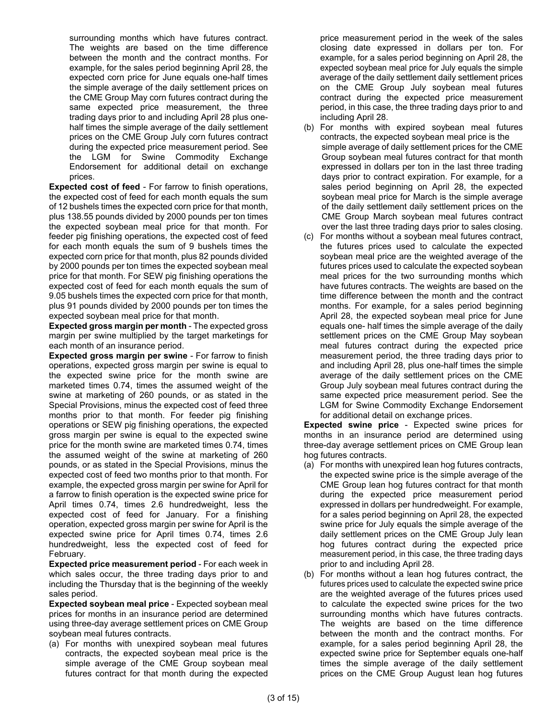surrounding months which have futures contract. The weights are based on the time difference between the month and the contract months. For example, for the sales period beginning April 28, the expected corn price for June equals one-half times the simple average of the daily settlement prices on the CME Group May corn futures contract during the same expected price measurement, the three trading days prior to and including April 28 plus onehalf times the simple average of the daily settlement prices on the CME Group July corn futures contract during the expected price measurement period. See the LGM for Swine Commodity Exchange Endorsement for additional detail on exchange prices.

**Expected cost of feed** - For farrow to finish operations, the expected cost of feed for each month equals the sum of 12 bushels times the expected corn price for that month, plus 138.55 pounds divided by 2000 pounds per ton times the expected soybean meal price for that month. For feeder pig finishing operations, the expected cost of feed for each month equals the sum of 9 bushels times the expected corn price for that month, plus 82 pounds divided by 2000 pounds per ton times the expected soybean meal price for that month. For SEW pig finishing operations the expected cost of feed for each month equals the sum of 9.05 bushels times the expected corn price for that month, plus 91 pounds divided by 2000 pounds per ton times the expected soybean meal price for that month.

**Expected gross margin per month** - The expected gross margin per swine multiplied by the target marketings for each month of an insurance period.

**Expected gross margin per swine - For farrow to finish** operations, expected gross margin per swine is equal to the expected swine price for the month swine are marketed times 0.74, times the assumed weight of the swine at marketing of 260 pounds, or as stated in the Special Provisions, minus the expected cost of feed three months prior to that month. For feeder pig finishing operations or SEW pig finishing operations, the expected gross margin per swine is equal to the expected swine price for the month swine are marketed times 0.74, times the assumed weight of the swine at marketing of 260 pounds, or as stated in the Special Provisions, minus the expected cost of feed two months prior to that month. For example, the expected gross margin per swine for April for a farrow to finish operation is the expected swine price for April times 0.74, times 2.6 hundredweight, less the expected cost of feed for January. For a finishing operation, expected gross margin per swine for April is the expected swine price for April times 0.74, times 2.6 hundredweight, less the expected cost of feed for February.

**Expected price measurement period** - For each week in which sales occur, the three trading days prior to and including the Thursday that is the beginning of the weekly sales period.

**Expected soybean meal price** - Expected soybean meal prices for months in an insurance period are determined using three-day average settlement prices on CME Group soybean meal futures contracts.

(a) For months with unexpired soybean meal futures contracts, the expected soybean meal price is the simple average of the CME Group soybean meal futures contract for that month during the expected price measurement period in the week of the sales closing date expressed in dollars per ton. For example, for a sales period beginning on April 28, the expected soybean meal price for July equals the simple average of the daily settlement daily settlement prices on the CME Group July soybean meal futures contract during the expected price measurement period, in this case, the three trading days prior to and including April 28.

- (b) For months with expired soybean meal futures contracts, the expected soybean meal price is the simple average of daily settlement prices for the CME Group soybean meal futures contract for that month expressed in dollars per ton in the last three trading days prior to contract expiration. For example, for a sales period beginning on April 28, the expected soybean meal price for March is the simple average of the daily settlement daily settlement prices on the CME Group March soybean meal futures contract over the last three trading days prior to sales closing.
- (c) For months without a soybean meal futures contract, the futures prices used to calculate the expected soybean meal price are the weighted average of the futures prices used to calculate the expected soybean meal prices for the two surrounding months which have futures contracts. The weights are based on the time difference between the month and the contract months. For example, for a sales period beginning April 28, the expected soybean meal price for June equals one- half times the simple average of the daily settlement prices on the CME Group May soybean meal futures contract during the expected price measurement period, the three trading days prior to and including April 28, plus one-half times the simple average of the daily settlement prices on the CME Group July soybean meal futures contract during the same expected price measurement period. See the LGM for Swine Commodity Exchange Endorsement for additional detail on exchange prices.

**Expected swine price** - Expected swine prices for months in an insurance period are determined using three-day average settlement prices on CME Group lean hog futures contracts.

- (a) For months with unexpired lean hog futures contracts, the expected swine price is the simple average of the CME Group lean hog futures contract for that month during the expected price measurement period expressed in dollars per hundredweight. For example, for a sales period beginning on April 28, the expected swine price for July equals the simple average of the daily settlement prices on the CME Group July lean hog futures contract during the expected price measurement period, in this case, the three trading days prior to and including April 28.
- (b) For months without a lean hog futures contract, the futures prices used to calculate the expected swine price are the weighted average of the futures prices used to calculate the expected swine prices for the two surrounding months which have futures contracts. The weights are based on the time difference between the month and the contract months. For example, for a sales period beginning April 28, the expected swine price for September equals one-half times the simple average of the daily settlement prices on the CME Group August lean hog futures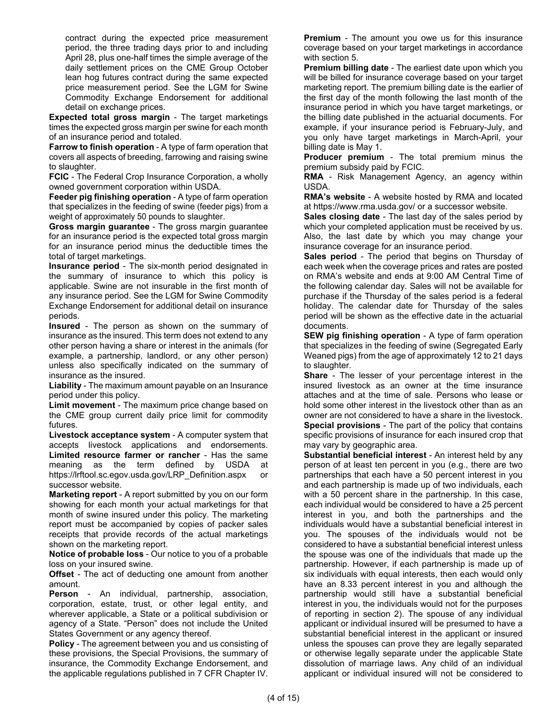contract during the expected price measurement period, the three trading days prior to and including April 28, plus one-half times the simple average of the daily settlement prices on the CME Group October lean hog futures contract during the same expected price measurement period. See the LGM for Swine Commodity Exchange Endorsement for additional detail on exchange prices.

**Expected total gross margin** - The target marketings times the expected gross margin per swine for each month of an insurance period and totaled.

**Farrow to finish operation** - A type of farm operation that covers all aspects of breeding, farrowing and raising swine to slaughter.

**FCIC** - The Federal Crop Insurance Corporation, a wholly owned government corporation within USDA.

**Feeder pig finishing operation - A type of farm operation** that specializes in the feeding of swine (feeder pigs) from a weight of approximately 50 pounds to slaughter.

**Gross margin guarantee** - The gross margin guarantee for an insurance period is the expected total gross margin for an insurance period minus the deductible times the total of target marketings.

**Insurance period** - The six-month period designated in the summary of insurance to which this policy is applicable. Swine are not insurable in the first month of any insurance period. See the LGM for Swine Commodity Exchange Endorsement for additional detail on insurance periods.

**Insured** - The person as shown on the summary of insurance as the insured. This term does not extend to any other person having a share or interest in the animals (for example, a partnership, landlord, or any other person) unless also specifically indicated on the summary of insurance as the insured.

**Liability** - The maximum amount payable on an Insurance period under this policy.

**Limit movement** - The maximum price change based on the CME group current daily price limit for commodity futures.

**Livestock acceptance system** - A computer system that accepts livestock applications and endorsements. **Limited resource farmer or rancher** - Has the same meaning as the term defined by USDA at https://lrftool.sc.egov.usda.gov/LRP\_Definition.aspx or successor website.

**Marketing report** - A report submitted by you on our form showing for each month your actual marketings for that month of swine insured under this policy. The marketing report must be accompanied by copies of packer sales receipts that provide records of the actual marketings shown on the marketing report.

**Notice of probable loss** - Our notice to you of a probable loss on your insured swine.

**Offset** - The act of deducting one amount from another amount.

**Person** - An individual, partnership, association, corporation, estate, trust, or other legal entity, and wherever applicable, a State or a political subdivision or agency of a State. "Person" does not include the United States Government or any agency thereof.

**Policy** - The agreement between you and us consisting of these provisions, the Special Provisions, the summary of insurance, the Commodity Exchange Endorsement, and the applicable regulations published in 7 CFR Chapter IV. **Premium** - The amount you owe us for this insurance coverage based on your target marketings in accordance with section 5.

**Premium billing date** - The earliest date upon which you will be billed for insurance coverage based on your target marketing report. The premium billing date is the earlier of the first day of the month following the last month of the insurance period in which you have target marketings, or the billing date published in the actuarial documents. For example, if your insurance period is February-July, and you only have target marketings in March-April, your billing date is May 1.

**Producer premium** - The total premium minus the premium subsidy paid by FCIC.

**RMA** - Risk Management Agency, an agency within USDA.

**RMA's website** - A website hosted by RMA and located at https:/[/www.rma.usda.gov/](http://www.rma.usda.gov/) or a successor website.

**Sales closing date** - The last day of the sales period by which your completed application must be received by us. Also, the last date by which you may change your insurance coverage for an insurance period.

**Sales period** - The period that begins on Thursday of each week when the coverage prices and rates are posted on RMA's website and ends at 9:00 AM Central Time of the following calendar day. Sales will not be available for purchase if the Thursday of the sales period is a federal holiday. The calendar date for Thursday of the sales period will be shown as the effective date in the actuarial documents.

**SEW pig finishing operation** - A type of farm operation that specializes in the feeding of swine (Segregated Early Weaned pigs) from the age of approximately 12 to 21 days to slaughter.

**Share** - The lesser of your percentage interest in the insured livestock as an owner at the time insurance attaches and at the time of sale. Persons who lease or hold some other interest in the livestock other than as an owner are not considered to have a share in the livestock. **Special provisions** - The part of the policy that contains specific provisions of insurance for each insured crop that may vary by geographic area.

**Substantial beneficial interest** - An interest held by any person of at least ten percent in you (e.g., there are two partnerships that each have a 50 percent interest in you and each partnership is made up of two individuals, each with a 50 percent share in the partnership. In this case, each individual would be considered to have a 25 percent interest in you, and both the partnerships and the individuals would have a substantial beneficial interest in you. The spouses of the individuals would not be considered to have a substantial beneficial interest unless the spouse was one of the individuals that made up the partnership. However, if each partnership is made up of six individuals with equal interests, then each would only have an 8.33 percent interest in you and although the partnership would still have a substantial beneficial interest in you, the individuals would not for the purposes of reporting in section 2). The spouse of any individual applicant or individual insured will be presumed to have a substantial beneficial interest in the applicant or insured unless the spouses can prove they are legally separated or otherwise legally separate under the applicable State dissolution of marriage laws. Any child of an individual applicant or individual insured will not be considered to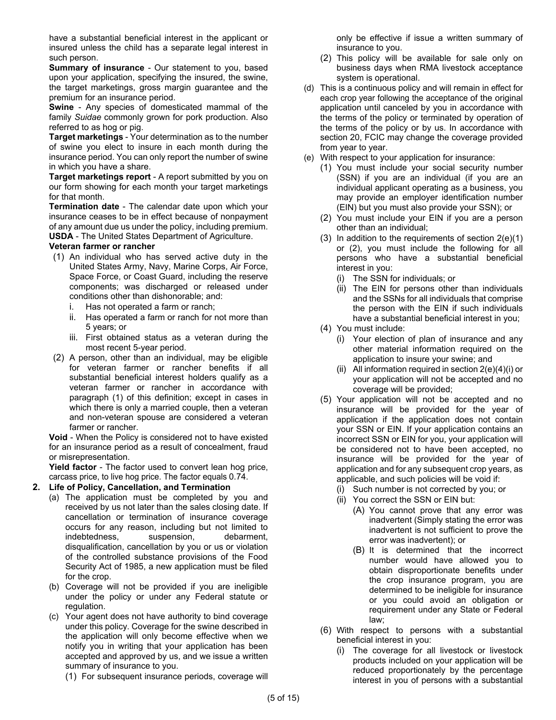have a substantial beneficial interest in the applicant or insured unless the child has a separate legal interest in such person.

**Summary of insurance** - Our statement to you, based upon your application, specifying the insured, the swine, the target marketings, gross margin guarantee and the premium for an insurance period.

**Swine** - Any species of domesticated mammal of the family *Suidae* commonly grown for pork production. Also referred to as hog or pig.

**Target marketings** - Your determination as to the number of swine you elect to insure in each month during the insurance period. You can only report the number of swine in which you have a share.

**Target marketings report** - A report submitted by you on our form showing for each month your target marketings for that month.

**Termination date** - The calendar date upon which your insurance ceases to be in effect because of nonpayment of any amount due us under the policy, including premium. **USDA** - The United States Department of Agriculture.

### **Veteran farmer or rancher**

- (1) An individual who has served active duty in the United States Army, Navy, Marine Corps, Air Force, Space Force, or Coast Guard, including the reserve components; was discharged or released under conditions other than dishonorable; and:
	- i. Has not operated a farm or ranch;
	- ii. Has operated a farm or ranch for not more than 5 years; or
	- iii. First obtained status as a veteran during the most recent 5-year period.
- <span id="page-5-3"></span>(2) A person, other than an individual, may be eligible for veteran farmer or rancher benefits if all substantial beneficial interest holders qualify as a veteran farmer or rancher in accordance with paragraph (1) of this definition; except in cases in which there is only a married couple, then a veteran and non-veteran spouse are considered a veteran farmer or rancher.

**Void** - When the Policy is considered not to have existed for an insurance period as a result of concealment, fraud or misrepresentation.

**Yield factor** - The factor used to convert lean hog price, carcass price, to live hog price. The factor equals 0.74.

### **2. Life of Policy, Cancellation, and Termination**

- (a) The application must be completed by you and received by us not later than the sales closing date. If cancellation or termination of insurance coverage occurs for any reason, including but not limited to indebtedness, suspension, debarment, disqualification, cancellation by you or us or violation of the controlled substance provisions of the Food Security Act of 1985, a new application must be filed for the crop.
- (b) Coverage will not be provided if you are ineligible under the policy or under any Federal statute or regulation.
- <span id="page-5-4"></span>(c) Your agent does not have authority to bind coverage under this policy. Coverage for the swine described in the application will only become effective when we notify you in writing that your application has been accepted and approved by us, and we issue a written summary of insurance to you.
	- (1) For subsequent insurance periods, coverage will

only be effective if issue a written summary of insurance to you.

- (2) This policy will be available for sale only on business days when RMA livestock acceptance system is operational.
- (d) This is a continuous policy and will remain in effect for each crop year following the acceptance of the original application until canceled by you in accordance with the terms of the policy or terminated by operation of the terms of the policy or by us. In accordance with section 20, FCIC may change the coverage provided from year to year.
- <span id="page-5-2"></span><span id="page-5-1"></span><span id="page-5-0"></span>(e) With respect to your application for insurance:
	- (1) You must include your social security number (SSN) if you are an individual (if you are an individual applicant operating as a business, you may provide an employer identification number (EIN) but you must also provide your SSN); or
	- (2) You must include your EIN if you are a person other than an individual;
	- (3) In addition to the requirements of section  $2(e)(1)$ or [\(2\),](#page-5-1) you must include the following for all persons who have a substantial beneficial interest in you:
		- (i) The SSN for individuals; or
		- (ii) The EIN for persons other than individuals and the SSNs for all individuals that comprise the person with the EIN if such individuals have a substantial beneficial interest in you;
	- (4) You must include:
		- (i) Your election of plan of insurance and any other material information required on the application to insure your swine; and
		- (ii) All information required in section  $2(e)(4)(i)$  or your application will not be accepted and no coverage will be provided;
	- (5) Your application will not be accepted and no insurance will be provided for the year of application if the application does not contain your SSN or EIN. If your application contains an incorrect SSN or EIN for you, your application will be considered not to have been accepted, no insurance will be provided for the year of application and for any subsequent crop years, as applicable, and such policies will be void if:
		- (i) Such number is not corrected by you; or
		- (ii) You correct the SSN or EIN but:
			- (A) You cannot prove that any error was inadvertent (Simply stating the error was inadvertent is not sufficient to prove the error was inadvertent); or
			- (B) It is determined that the incorrect number would have allowed you to obtain disproportionate benefits under the crop insurance program, you are determined to be ineligible for insurance or you could avoid an obligation or requirement under any State or Federal law;
	- (6) With respect to persons with a substantial beneficial interest in you:
		- (i) The coverage for all livestock or livestock products included on your application will be reduced proportionately by the percentage interest in you of persons with a substantial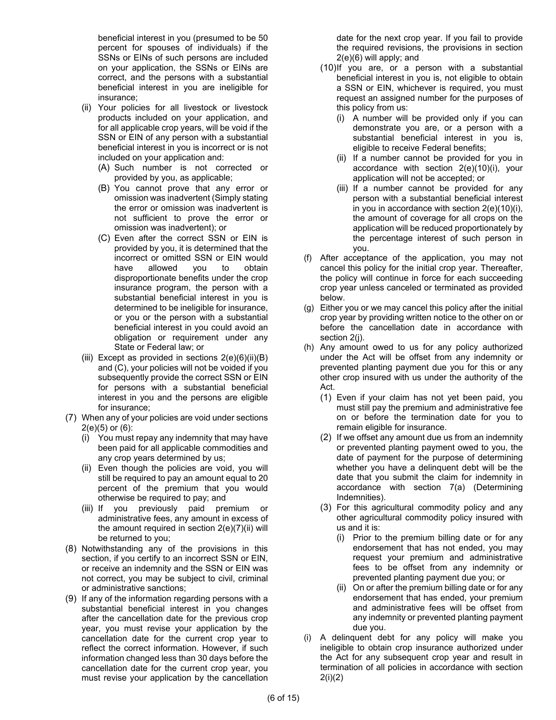beneficial interest in you (presumed to be 50 percent for spouses of individuals) if the SSNs or EINs of such persons are included on your application, the SSNs or EINs are correct, and the persons with a substantial beneficial interest in you are ineligible for insurance;

- <span id="page-6-0"></span>(ii) Your policies for all livestock or livestock products included on your application, and for all applicable crop years, will be void if the SSN or EIN of any person with a substantial beneficial interest in you is incorrect or is not included on your application and:
	- (A) Such number is not corrected or provided by you, as applicable;
	- (B) You cannot prove that any error or omission was inadvertent (Simply stating the error or omission was inadvertent is not sufficient to prove the error or omission was inadvertent); or
	- (C) Even after the correct SSN or EIN is provided by you, it is determined that the incorrect or omitted SSN or EIN would have allowed you to obtain disproportionate benefits under the crop insurance program, the person with a substantial beneficial interest in you is determined to be ineligible for insurance, or you or the person with a substantial beneficial interest in you could avoid an obligation or requirement under any State or Federal law; or
- <span id="page-6-1"></span>(iii) Except as provided in sections  $2(e)(6)(ii)(B)$ and [\(C\),](#page-6-1) your policies will not be voided if you subsequently provide the correct SSN or EIN for persons with a substantial beneficial interest in you and the persons are eligible for insurance;
- <span id="page-6-2"></span>(7) When any of your policies are void under sections [2\(e\)\(5\)](#page-5-3) or [\(6\):](#page-5-4)
	- (i) You must repay any indemnity that may have been paid for all applicable commodities and any crop years determined by us;
	- (ii) Even though the policies are void, you will still be required to pay an amount equal to 20 percent of the premium that you would otherwise be required to pay; and
	- (iii) If you previously paid premium or administrative fees, any amount in excess of the amount required in section [2\(e\)\(7\)\(ii\)](#page-6-2) will be returned to you;
- (8) Notwithstanding any of the provisions in this section, if you certify to an incorrect SSN or EIN, or receive an indemnity and the SSN or EIN was not correct, you may be subject to civil, criminal or administrative sanctions;
- (9) If any of the information regarding persons with a substantial beneficial interest in you changes after the cancellation date for the previous crop year, you must revise your application by the cancellation date for the current crop year to reflect the correct information. However, if such information changed less than 30 days before the cancellation date for the current crop year, you must revise your application by the cancellation

date for the next crop year. If you fail to provide the required revisions, the provisions in section [2\(e\)\(6\)](#page-5-4) will apply; and

- <span id="page-6-3"></span>(10)If you are, or a person with a substantial beneficial interest in you is, not eligible to obtain a SSN or EIN, whichever is required, you must request an assigned number for the purposes of this policy from us:
	- (i) A number will be provided only if you can demonstrate you are, or a person with a substantial beneficial interest in you is, eligible to receive Federal benefits;
	- (ii) If a number cannot be provided for you in accordance with section [2\(e\)\(10\)\(i\),](#page-6-3) your application will not be accepted; or
	- (iii) If a number cannot be provided for any person with a substantial beneficial interest in you in accordance with section [2\(e\)\(10\)\(i\),](#page-6-3)  the amount of coverage for all crops on the application will be reduced proportionately by the percentage interest of such person in you.
- (f) After acceptance of the application, you may not cancel this policy for the initial crop year. Thereafter, the policy will continue in force for each succeeding crop year unless canceled or terminated as provided below.
- (g) Either you or we may cancel this policy after the initial crop year by providing written notice to the other on or before the cancellation date in accordance with section [2\(j\).](#page-8-0)
- <span id="page-6-4"></span>(h) Any amount owed to us for any policy authorized under the Act will be offset from any indemnity or prevented planting payment due you for this or any other crop insured with us under the authority of the Act.
	- (1) Even if your claim has not yet been paid, you must still pay the premium and administrative fee on or before the termination date for you to remain eligible for insurance.
	- (2) If we offset any amount due us from an indemnity or prevented planting payment owed to you, the date of payment for the purpose of determining whether you have a delinquent debt will be the date that you submit the claim for indemnity in accordance with section [7\(a\)](#page-10-0) (Determining Indemnities).
	- (3) For this agricultural commodity policy and any other agricultural commodity policy insured with us and it is:
		- (i) Prior to the premium billing date or for any endorsement that has not ended, you may request your premium and administrative fees to be offset from any indemnity or prevented planting payment due you; or
		- (ii) On or after the premium billing date or for any endorsement that has ended, your premium and administrative fees will be offset from any indemnity or prevented planting payment due you.
- <span id="page-6-5"></span>(i) A delinquent debt for any policy will make you ineligible to obtain crop insurance authorized under the Act for any subsequent crop year and result in termination of all policies in accordance with section [2\(i\)\(2\)](#page-7-0)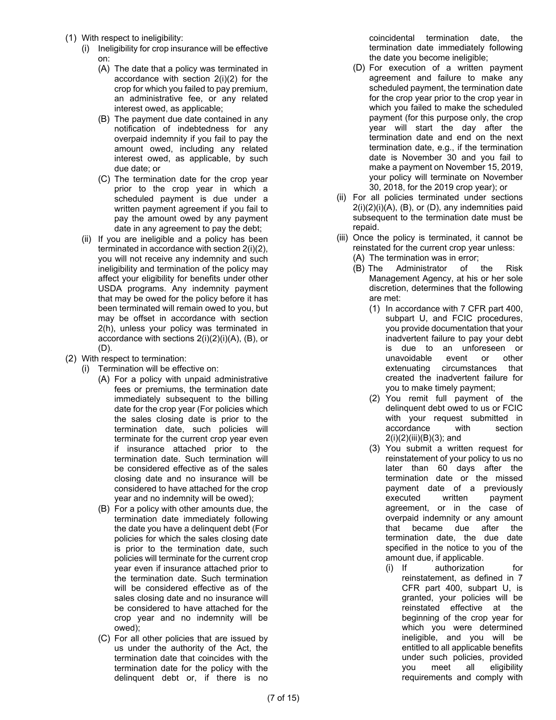- (1) With respect to ineligibility:
	- (i) Ineligibility for crop insurance will be effective on:
		- (A) The date that a policy was terminated in accordance with section [2\(i\)\(2\)](#page-7-0) for the crop for which you failed to pay premium, an administrative fee, or any related interest owed, as applicable;
		- (B) The payment due date contained in any notification of indebtedness for any overpaid indemnity if you fail to pay the amount owed, including any related interest owed, as applicable, by such due date; or
		- (C) The termination date for the crop year prior to the crop year in which a scheduled payment is due under a written payment agreement if you fail to pay the amount owed by any payment date in any agreement to pay the debt;
	- (ii) If you are ineligible and a policy has been terminated in accordance with sectio[n 2\(i\)\(2\),](#page-7-0) you will not receive any indemnity and such ineligibility and termination of the policy may affect your eligibility for benefits under other USDA programs. Any indemnity payment that may be owed for the policy before it has been terminated will remain owed to you, but may be offset in accordance with section [2\(h\),](#page-6-4) unless your policy was terminated in accordance with sections [2\(i\)\(2\)\(i\)\(A\),](#page-7-1) [\(B\),](#page-7-2) or [\(D\).](#page-7-3)
- <span id="page-7-6"></span><span id="page-7-2"></span><span id="page-7-1"></span><span id="page-7-0"></span>(2) With respect to termination:
	- (i) Termination will be effective on:
		- (A) For a policy with unpaid administrative fees or premiums, the termination date immediately subsequent to the billing date for the crop year (For policies which the sales closing date is prior to the termination date, such policies will terminate for the current crop year even if insurance attached prior to the termination date. Such termination will be considered effective as of the sales closing date and no insurance will be considered to have attached for the crop year and no indemnity will be owed);
		- (B) For a policy with other amounts due, the termination date immediately following the date you have a delinquent debt (For policies for which the sales closing date is prior to the termination date, such policies will terminate for the current crop year even if insurance attached prior to the termination date. Such termination will be considered effective as of the sales closing date and no insurance will be considered to have attached for the crop year and no indemnity will be owed);
		- (C) For all other policies that are issued by us under the authority of the Act, the termination date that coincides with the termination date for the policy with the delinquent debt or, if there is no

coincidental termination date, the termination date immediately following the date you become ineligible;

- <span id="page-7-3"></span>(D) For execution of a written payment agreement and failure to make any scheduled payment, the termination date for the crop year prior to the crop year in which you failed to make the scheduled payment (for this purpose only, the crop year will start the day after the termination date and end on the next termination date, e.g., if the termination date is November 30 and you fail to make a payment on November 15, 2019, your policy will terminate on November 30, 2018, for the 2019 crop year); or
- (ii) For all policies terminated under sections  $2(i)(2)(i)(A)$ ,  $(B)$ , or  $(D)$ , any indemnities paid subsequent to the termination date must be repaid.
- <span id="page-7-5"></span><span id="page-7-4"></span>(iii) Once the policy is terminated, it cannot be reinstated for the current crop year unless:
	- (A) The termination was in error;
	- (B) The Administrator of the Risk Management Agency, at his or her sole discretion, determines that the following are met:
		- (1) In accordance with 7 CFR part 400, subpart U, and FCIC procedures, you provide documentation that your inadvertent failure to pay your debt is due to an unforeseen or unavoidable event or other extenuating circumstances that created the inadvertent failure for you to make timely payment;
		- (2) You remit full payment of the delinquent debt owed to us or FCIC with your request submitted in accordance with section  $2(i)(2)(iii)(B)(3)$ ; and
		- (3) You submit a written request for reinstatement of your policy to us no later than 60 days after the termination date or the missed payment date of a previously executed written payment agreement, or in the case of overpaid indemnity or any amount that became due after the termination date, the due date specified in the notice to you of the amount due, if applicable.
			- (i) If authorization for reinstatement, as defined in 7 CFR part 400, subpart U, is granted, your policies will be reinstated effective at the beginning of the crop year for which you were determined ineligible, and you will be entitled to all applicable benefits under such policies, provided you meet all eligibility requirements and comply with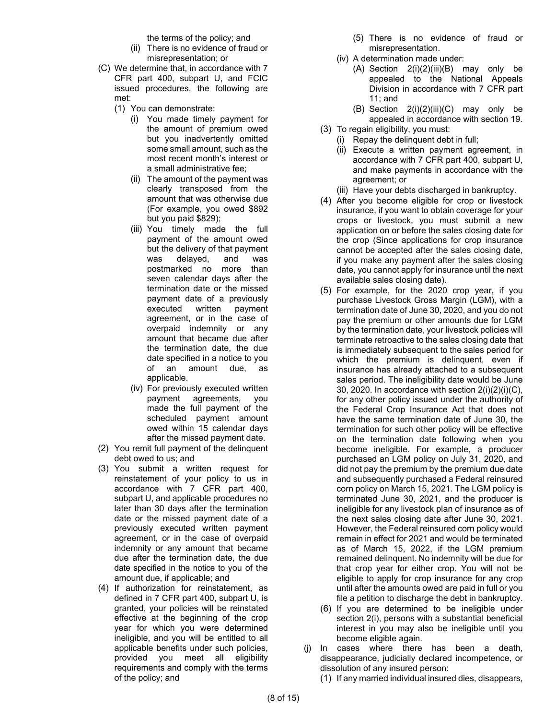the terms of the policy; and

- (ii) There is no evidence of fraud or misrepresentation; or
- <span id="page-8-1"></span>(C) We determine that, in accordance with 7 CFR part 400, subpart U, and FCIC issued procedures, the following are met:
	- (1) You can demonstrate:
		- (i) You made timely payment for the amount of premium owed but you inadvertently omitted some small amount, such as the most recent month's interest or a small administrative fee;
		- (ii) The amount of the payment was clearly transposed from the amount that was otherwise due (For example, you owed \$892 but you paid \$829);
		- (iii) You timely made the full payment of the amount owed but the delivery of that payment was delayed, and was postmarked no more than seven calendar days after the termination date or the missed payment date of a previously executed written payment agreement, or in the case of overpaid indemnity or any amount that became due after the termination date, the due date specified in a notice to you of an amount due, as applicable.
		- (iv) For previously executed written payment agreements, you made the full payment of the scheduled payment amount owed within 15 calendar days after the missed payment date.
- (2) You remit full payment of the delinquent debt owed to us; and
- (3) You submit a written request for reinstatement of your policy to us in accordance with 7 CFR part 400, subpart U, and applicable procedures no later than 30 days after the termination date or the missed payment date of a previously executed written payment agreement, or in the case of overpaid indemnity or any amount that became due after the termination date, the due date specified in the notice to you of the amount due, if applicable; and
- (4) If authorization for reinstatement, as defined in 7 CFR part 400, subpart U, is granted, your policies will be reinstated effective at the beginning of the crop year for which you were determined ineligible, and you will be entitled to all applicable benefits under such policies, provided you meet all eligibility requirements and comply with the terms of the policy; and
- (5) There is no evidence of fraud or misrepresentation.
- (iv) A determination made under:
	- $(A)$  Section  $2(i)(2)(iii)(B)$  may only be appealed to the National Appeals Division in accordance with 7 CFR part 11; and
	- (B) Section [2\(i\)\(2\)\(iii\)\(C\)](#page-8-1) may only be appealed in accordance with section 19.
- (3) To regain eligibility, you must: (i) Repay the delinquent debt in full;
	- (ii) Execute a written payment agreement, in accordance with 7 CFR part 400, subpart U, and make payments in accordance with the agreement; or
	- (iii) Have your debts discharged in bankruptcy.
- (4) After you become eligible for crop or livestock insurance, if you want to obtain coverage for your crops or livestock, you must submit a new application on or before the sales closing date for the crop (Since applications for crop insurance cannot be accepted after the sales closing date, if you make any payment after the sales closing date, you cannot apply for insurance until the next available sales closing date).
- (5) For example, for the 2020 crop year, if you purchase Livestock Gross Margin (LGM), with a termination date of June 30, 2020, and you do not pay the premium or other amounts due for LGM by the termination date, your livestock policies will terminate retroactive to the sales closing date that is immediately subsequent to the sales period for which the premium is delinquent, even if insurance has already attached to a subsequent sales period. The ineligibility date would be June 30, 2020. In accordance with section  $2(i)(2)(i)(C)$ , for any other policy issued under the authority of the Federal Crop Insurance Act that does not have the same termination date of June 30, the termination for such other policy will be effective on the termination date following when you become ineligible. For example, a producer purchased an LGM policy on July 31, 2020, and did not pay the premium by the premium due date and subsequently purchased a Federal reinsured corn policy on March 15, 2021. The LGM policy is terminated June 30, 2021, and the producer is ineligible for any livestock plan of insurance as of the next sales closing date after June 30, 2021. However, the Federal reinsured corn policy would remain in effect for 2021 and would be terminated as of March 15, 2022, if the LGM premium remained delinquent. No indemnity will be due for that crop year for either crop. You will not be eligible to apply for crop insurance for any crop until after the amounts owed are paid in full or you file a petition to discharge the debt in bankruptcy.
- (6) If you are determined to be ineligible under section [2\(i\),](#page-6-5) persons with a substantial beneficial interest in you may also be ineligible until you become eligible again.
- <span id="page-8-2"></span><span id="page-8-0"></span>(j) In cases where there has been a death, disappearance, judicially declared incompetence, or dissolution of any insured person:
	- (1) If any married individual insured dies, disappears,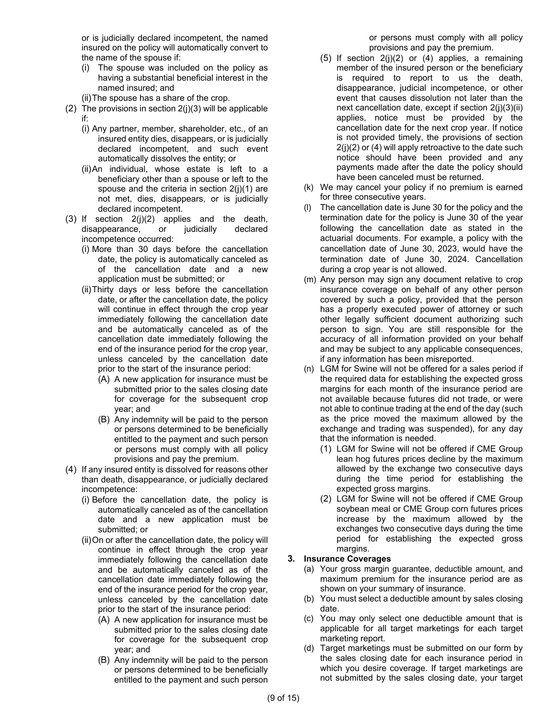or is judicially declared incompetent, the named insured on the policy will automatically convert to the name of the spouse if:

- (i) The spouse was included on the policy as having a substantial beneficial interest in the named insured; and
- (ii)The spouse has a share of the crop.
- <span id="page-9-1"></span>(2) The provisions in section  $2(j)(3)$  will be applicable if:
	- (i) Any partner, member, shareholder, etc., of an insured entity dies, disappears, or is judicially declared incompetent, and such event automatically dissolves the entity; or
	- (ii)An individual, whose estate is left to a beneficiary other than a spouse or left to the spouse and the criteria in section [2\(j\)\(1\)](#page-8-2) are not met, dies, disappears, or is judicially declared incompetent.
- <span id="page-9-3"></span><span id="page-9-0"></span>(3) If section  $2(j)(2)$  applies and the death, disappearance, or judicially declared incompetence occurred:
	- (i) More than 30 days before the cancellation date, the policy is automatically canceled as of the cancellation date and a new application must be submitted; or
	- (ii)Thirty days or less before the cancellation date, or after the cancellation date, the policy will continue in effect through the crop year immediately following the cancellation date and be automatically canceled as of the cancellation date immediately following the end of the insurance period for the crop year, unless canceled by the cancellation date prior to the start of the insurance period:
		- (A) A new application for insurance must be submitted prior to the sales closing date for coverage for the subsequent crop year; and
		- (B) Any indemnity will be paid to the person or persons determined to be beneficially entitled to the payment and such person or persons must comply with all policy provisions and pay the premium.
- <span id="page-9-2"></span>(4) If any insured entity is dissolved for reasons other than death, disappearance, or judicially declared incompetence:
	- (i) Before the cancellation date, the policy is automatically canceled as of the cancellation date and a new application must be submitted; or
	- (ii)On or after the cancellation date, the policy will continue in effect through the crop year immediately following the cancellation date and be automatically canceled as of the cancellation date immediately following the end of the insurance period for the crop year, unless canceled by the cancellation date prior to the start of the insurance period:
		- (A) A new application for insurance must be submitted prior to the sales closing date for coverage for the subsequent crop year; and
		- (B) Any indemnity will be paid to the person or persons determined to be beneficially entitled to the payment and such person

or persons must comply with all policy provisions and pay the premium.

- $(5)$  If section  $2(j)(2)$  or  $(4)$  applies, a remaining member of the insured person or the beneficiary is required to report to us the death, disappearance, judicial incompetence, or other event that causes dissolution not later than the next cancellation date, except if section [2\(j\)\(3\)\(ii\)](#page-9-3) applies, notice must be provided by the cancellation date for the next crop year. If notice is not provided timely, the provisions of section  $2(j)(2)$  or [\(4\)](#page-9-2) will apply retroactive to the date such notice should have been provided and any payments made after the date the policy should have been canceled must be returned.
- (k) We may cancel your policy if no premium is earned for three consecutive years.
- (l) The cancellation date is June 30 for the policy and the termination date for the policy is June 30 of the year following the cancellation date as stated in the actuarial documents. For example, a policy with the cancellation date of June 30, 2023, would have the termination date of June 30, 2024. Cancellation during a crop year is not allowed.
- (m) Any person may sign any document relative to crop insurance coverage on behalf of any other person covered by such a policy, provided that the person has a properly executed power of attorney or such other legally sufficient document authorizing such person to sign. You are still responsible for the accuracy of all information provided on your behalf and may be subject to any applicable consequences, if any information has been misreported.
- (n) LGM for Swine will not be offered for a sales period if the required data for establishing the expected gross margins for each month of the insurance period are not available because futures did not trade, or were not able to continue trading at the end of the day (such as the price moved the maximum allowed by the exchange and trading was suspended), for any day that the information is needed.
	- (1) LGM for Swine will not be offered if CME Group lean hog futures prices decline by the maximum allowed by the exchange two consecutive days during the time period for establishing the expected gross margins.
	- (2) LGM for Swine will not be offered if CME Group soybean meal or CME Group corn futures prices increase by the maximum allowed by the exchanges two consecutive days during the time period for establishing the expected gross margins.

### **3. Insurance Coverages**

- (a) Your gross margin guarantee, deductible amount, and maximum premium for the insurance period are as shown on your summary of insurance.
- (b) You must select a deductible amount by sales closing date.
- (c) You may only select one deductible amount that is applicable for all target marketings for each target marketing report.
- (d) Target marketings must be submitted on our form by the sales closing date for each insurance period in which you desire coverage. If target marketings are not submitted by the sales closing date, your target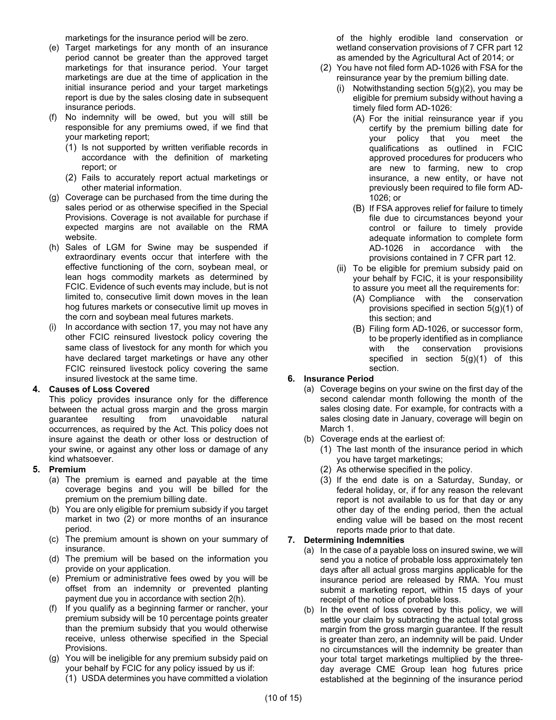marketings for the insurance period will be zero.

- (e) Target marketings for any month of an insurance period cannot be greater than the approved target marketings for that insurance period. Your target marketings are due at the time of application in the initial insurance period and your target marketings report is due by the sales closing date in subsequent insurance periods.
- (f) No indemnity will be owed, but you will still be responsible for any premiums owed, if we find that your marketing report;
	- (1) Is not supported by written verifiable records in accordance with the definition of marketing report; or
	- (2) Fails to accurately report actual marketings or other material information.
- (g) Coverage can be purchased from the time during the sales period or as otherwise specified in the Special Provisions. Coverage is not available for purchase if expected margins are not available on the RMA website.
- (h) Sales of LGM for Swine may be suspended if extraordinary events occur that interfere with the effective functioning of the corn, soybean meal, or lean hogs commodity markets as determined by FCIC. Evidence of such events may include, but is not limited to, consecutive limit down moves in the lean hog futures markets or consecutive limit up moves in the corn and soybean meal futures markets.
- (i) In accordance with section 17, you may not have any other FCIC reinsured livestock policy covering the same class of livestock for any month for which you have declared target marketings or have any other FCIC reinsured livestock policy covering the same insured livestock at the same time.

### **4. Causes of Loss Covered**

This policy provides insurance only for the difference between the actual gross margin and the gross margin guarantee resulting from unavoidable natural occurrences, as required by the Act. This policy does not insure against the death or other loss or destruction of your swine, or against any other loss or damage of any kind whatsoever.

### **5. Premium**

- (a) The premium is earned and payable at the time coverage begins and you will be billed for the premium on the premium billing date.
- (b) You are only eligible for premium subsidy if you target market in two (2) or more months of an insurance period.
- (c) The premium amount is shown on your summary of insurance.
- (d) The premium will be based on the information you provide on your application.
- (e) Premium or administrative fees owed by you will be offset from an indemnity or prevented planting payment due you in accordance with section [2\(h\).](#page-6-4)
- (f) If you qualify as a beginning farmer or rancher, your premium subsidy will be 10 percentage points greater than the premium subsidy that you would otherwise receive, unless otherwise specified in the Special Provisions.
- <span id="page-10-2"></span>(g) You will be ineligible for any premium subsidy paid on your behalf by FCIC for any policy issued by us if:
	- (1) USDA determines you have committed a violation

of the highly erodible land conservation or wetland conservation provisions of 7 CFR part 12 as amended by the Agricultural Act of 2014; or

- <span id="page-10-1"></span>(2) You have not filed form AD-1026 with FSA for the reinsurance year by the premium billing date.
	- (i) Notwithstanding section  $5(g)(2)$ , you may be eligible for premium subsidy without having a timely filed form AD-1026:
		- (A) For the initial reinsurance year if you certify by the premium billing date for your policy that you meet the qualifications as outlined in FCIC approved procedures for producers who are new to farming, new to crop insurance, a new entity, or have not previously been required to file form AD-1026; or
		- (B) If FSA approves relief for failure to timely file due to circumstances beyond your control or failure to timely provide adequate information to complete form AD-1026 in accordance with the provisions contained in 7 CFR part 12.
	- (ii) To be eligible for premium subsidy paid on your behalf by FCIC, it is your responsibility to assure you meet all the requirements for:
		- (A) Compliance with the conservation provisions specified in section [5\(g\)\(1\)](#page-10-2) of this section; and
		- (B) Filing form AD-1026, or successor form, to be properly identified as in compliance with the conservation provisions specified in section [5\(g\)\(1\)](#page-10-2) of this section.

### **6. Insurance Period**

- (a) Coverage begins on your swine on the first day of the second calendar month following the month of the sales closing date. For example, for contracts with a sales closing date in January, coverage will begin on March 1.
- (b) Coverage ends at the earliest of:
	- (1) The last month of the insurance period in which you have target marketings;
	- (2) As otherwise specified in the policy.
	- (3) If the end date is on a Saturday, Sunday, or federal holiday, or, if for any reason the relevant report is not available to us for that day or any other day of the ending period, then the actual ending value will be based on the most recent reports made prior to that date.

### <span id="page-10-0"></span>**7. Determining Indemnities**

- (a) In the case of a payable loss on insured swine, we will send you a notice of probable loss approximately ten days after all actual gross margins applicable for the insurance period are released by RMA. You must submit a marketing report, within 15 days of your receipt of the notice of probable loss.
- <span id="page-10-3"></span>(b) In the event of loss covered by this policy, we will settle your claim by subtracting the actual total gross margin from the gross margin guarantee. If the result is greater than zero, an indemnity will be paid. Under no circumstances will the indemnity be greater than your total target marketings multiplied by the threeday average CME Group lean hog futures price established at the beginning of the insurance period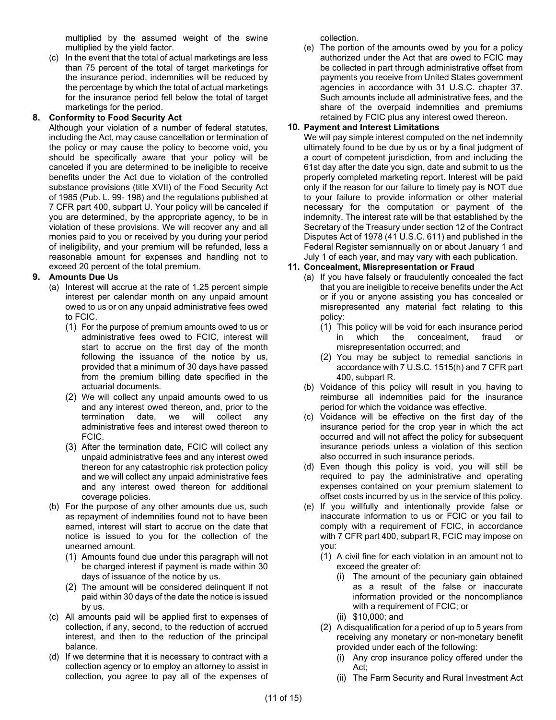multiplied by the assumed weight of the swine multiplied by the yield factor.

(c) In the event that the total of actual marketings are less than 75 percent of the total of target marketings for the insurance period, indemnities will be reduced by the percentage by which the total of actual marketings for the insurance period fell below the total of target marketings for the period.

### **8. Conformity to Food Security Act**

Although your violation of a number of federal statutes, including the Act, may cause cancellation or termination of the policy or may cause the policy to become void, you should be specifically aware that your policy will be canceled if you are determined to be ineligible to receive benefits under the Act due to violation of the controlled substance provisions (title XVII) of the Food Security Act of 1985 (Pub. L. 99- 198) and the regulations published at 7 CFR part 400, subpart U. Your policy will be canceled if you are determined, by the appropriate agency, to be in violation of these provisions. We will recover any and all monies paid to you or received by you during your period of ineligibility, and your premium will be refunded, less a reasonable amount for expenses and handling not to exceed 20 percent of the total premium.

### **9. Amounts Due Us**

- (a) Interest will accrue at the rate of 1.25 percent simple interest per calendar month on any unpaid amount owed to us or on any unpaid administrative fees owed to FCIC.
	- (1) For the purpose of premium amounts owed to us or administrative fees owed to FCIC, interest will start to accrue on the first day of the month following the issuance of the notice by us, provided that a minimum of 30 days have passed from the premium billing date specified in the actuarial documents.
	- (2) We will collect any unpaid amounts owed to us and any interest owed thereon, and, prior to the termination date, we will collect any administrative fees and interest owed thereon to FCIC.
	- (3) After the termination date, FCIC will collect any unpaid administrative fees and any interest owed thereon for any catastrophic risk protection policy and we will collect any unpaid administrative fees and any interest owed thereon for additional coverage policies.
- (b) For the purpose of any other amounts due us, such as repayment of indemnities found not to have been earned, interest will start to accrue on the date that notice is issued to you for the collection of the unearned amount.
	- (1) Amounts found due under this paragraph will not be charged interest if payment is made within 30 days of issuance of the notice by us.
	- (2) The amount will be considered delinquent if not paid within 30 days of the date the notice is issued by us.
- (c) All amounts paid will be applied first to expenses of collection, if any, second, to the reduction of accrued interest, and then to the reduction of the principal balance.
- (d) If we determine that it is necessary to contract with a collection agency or to employ an attorney to assist in collection, you agree to pay all of the expenses of

collection.

(e) The portion of the amounts owed by you for a policy authorized under the Act that are owed to FCIC may be collected in part through administrative offset from payments you receive from United States government agencies in accordance with 31 U.S.C. chapter 37. Such amounts include all administrative fees, and the share of the overpaid indemnities and premiums retained by FCIC plus any interest owed thereon.

# <span id="page-11-0"></span>**10. Payment and Interest Limitations**

We will pay simple interest computed on the net indemnity ultimately found to be due by us or by a final judgment of a court of competent jurisdiction, from and including the 61st day after the date you sign, date and submit to us the properly completed marketing report. Interest will be paid only if the reason for our failure to timely pay is NOT due to your failure to provide information or other material necessary for the computation or payment of the indemnity. The interest rate will be that established by the Secretary of the Treasury under section 12 of the Contract Disputes Act of 1978 (41 U.S.C. 611) and published in the Federal Register semiannually on or about January 1 and July 1 of each year, and may vary with each publication.

### **11. Concealment, Misrepresentation or Fraud**

- (a) If you have falsely or fraudulently concealed the fact that you are ineligible to receive benefits under the Act or if you or anyone assisting you has concealed or misrepresented any material fact relating to this policy:
	- (1) This policy will be void for each insurance period in which the concealment, fraud or misrepresentation occurred; and
	- (2) You may be subject to remedial sanctions in accordance with 7 U.S.C. 1515(h) and 7 CFR part 400, subpart R.
- (b) Voidance of this policy will result in you having to reimburse all indemnities paid for the insurance period for which the voidance was effective.
- (c) Voidance will be effective on the first day of the insurance period for the crop year in which the act occurred and will not affect the policy for subsequent insurance periods unless a violation of this section also occurred in such insurance periods.
- (d) Even though this policy is void, you will still be required to pay the administrative and operating expenses contained on your premium statement to offset costs incurred by us in the service of this policy.
- (e) If you willfully and intentionally provide false or inaccurate information to us or FCIC or you fail to comply with a requirement of FCIC, in accordance with 7 CFR part 400, subpart R, FCIC may impose on you:
	- (1) A civil fine for each violation in an amount not to exceed the greater of:
		- (i) The amount of the pecuniary gain obtained as a result of the false or inaccurate information provided or the noncompliance with a requirement of FCIC; or
		- (ii) \$10,000; and
	- (2) A disqualification for a period of up to 5 years from receiving any monetary or non-monetary benefit provided under each of the following:
		- (i) Any crop insurance policy offered under the Act;
		- (ii) The Farm Security and Rural Investment Act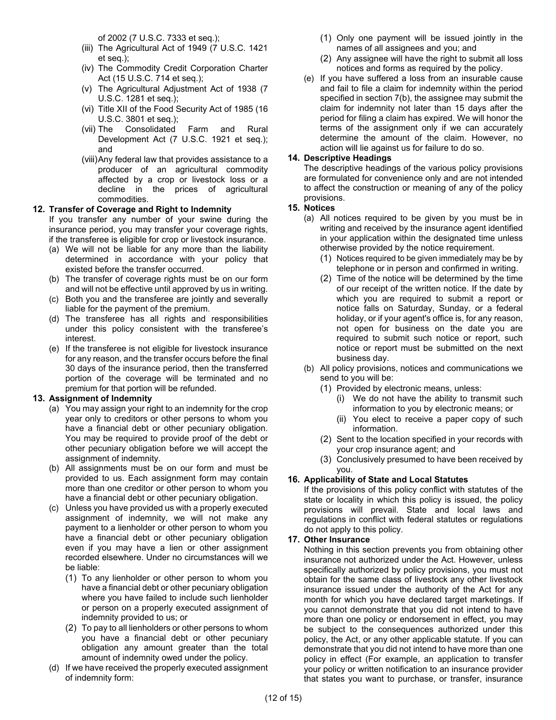of 2002 (7 U.S.C. 7333 et seq.);

- (iii) The Agricultural Act of 1949 (7 U.S.C. 1421 et seq.);
- (iv) The Commodity Credit Corporation Charter Act (15 U.S.C. 714 et seq.);
- (v) The Agricultural Adjustment Act of 1938 (7 U.S.C. 1281 et seq.);
- (vi) Title XII of the Food Security Act of 1985 (16 U.S.C. 3801 et seq.);
- (vii) The Consolidated Farm and Rural Development Act (7 U.S.C. 1921 et seq.); and
- (viii)Any federal law that provides assistance to a producer of an agricultural commodity affected by a crop or livestock loss or a decline in the prices of agricultural commodities.

### **12. Transfer of Coverage and Right to Indemnity**

If you transfer any number of your swine during the insurance period, you may transfer your coverage rights, if the transferee is eligible for crop or livestock insurance.

- (a) We will not be liable for any more than the liability determined in accordance with your policy that existed before the transfer occurred.
- (b) The transfer of coverage rights must be on our form and will not be effective until approved by us in writing.
- (c) Both you and the transferee are jointly and severally liable for the payment of the premium.
- (d) The transferee has all rights and responsibilities under this policy consistent with the transferee's interest.
- (e) If the transferee is not eligible for livestock insurance for any reason, and the transfer occurs before the final 30 days of the insurance period, then the transferred portion of the coverage will be terminated and no premium for that portion will be refunded.

### **13. Assignment of Indemnity**

- (a) You may assign your right to an indemnity for the crop year only to creditors or other persons to whom you have a financial debt or other pecuniary obligation. You may be required to provide proof of the debt or other pecuniary obligation before we will accept the assignment of indemnity.
- (b) All assignments must be on our form and must be provided to us. Each assignment form may contain more than one creditor or other person to whom you have a financial debt or other pecuniary obligation.
- (c) Unless you have provided us with a properly executed assignment of indemnity, we will not make any payment to a lienholder or other person to whom you have a financial debt or other pecuniary obligation even if you may have a lien or other assignment recorded elsewhere. Under no circumstances will we be liable:
	- (1) To any lienholder or other person to whom you have a financial debt or other pecuniary obligation where you have failed to include such lienholder or person on a properly executed assignment of indemnity provided to us; or
	- (2) To pay to all lienholders or other persons to whom you have a financial debt or other pecuniary obligation any amount greater than the total amount of indemnity owed under the policy.
- (d) If we have received the properly executed assignment of indemnity form:
- (1) Only one payment will be issued jointly in the names of all assignees and you; and
- (2) Any assignee will have the right to submit all loss notices and forms as required by the policy.
- (e) If you have suffered a loss from an insurable cause and fail to file a claim for indemnity within the period specified in sectio[n 7\(b\),](#page-10-3) the assignee may submit the claim for indemnity not later than 15 days after the period for filing a claim has expired. We will honor the terms of the assignment only if we can accurately determine the amount of the claim. However, no action will lie against us for failure to do so.

### **14. Descriptive Headings**

The descriptive headings of the various policy provisions are formulated for convenience only and are not intended to affect the construction or meaning of any of the policy provisions.

### **15. Notices**

- (a) All notices required to be given by you must be in writing and received by the insurance agent identified in your application within the designated time unless otherwise provided by the notice requirement.
	- (1) Notices required to be given immediately may be by telephone or in person and confirmed in writing.
	- (2) Time of the notice will be determined by the time of our receipt of the written notice. If the date by which you are required to submit a report or notice falls on Saturday, Sunday, or a federal holiday, or if your agent's office is, for any reason, not open for business on the date you are required to submit such notice or report, such notice or report must be submitted on the next business day.
- (b) All policy provisions, notices and communications we send to you will be:
	- (1) Provided by electronic means, unless:
		- (i) We do not have the ability to transmit such information to you by electronic means; or
		- (ii) You elect to receive a paper copy of such information.
	- (2) Sent to the location specified in your records with your crop insurance agent; and
	- (3) Conclusively presumed to have been received by you.

### **16. Applicability of State and Local Statutes**

If the provisions of this policy conflict with statutes of the state or locality in which this policy is issued, the policy provisions will prevail. State and local laws and regulations in conflict with federal statutes or regulations do not apply to this policy.

### **17. Other Insurance**

Nothing in this section prevents you from obtaining other insurance not authorized under the Act. However, unless specifically authorized by policy provisions, you must not obtain for the same class of livestock any other livestock insurance issued under the authority of the Act for any month for which you have declared target marketings. If you cannot demonstrate that you did not intend to have more than one policy or endorsement in effect, you may be subject to the consequences authorized under this policy, the Act, or any other applicable statute. If you can demonstrate that you did not intend to have more than one policy in effect (For example, an application to transfer your policy or written notification to an insurance provider that states you want to purchase, or transfer, insurance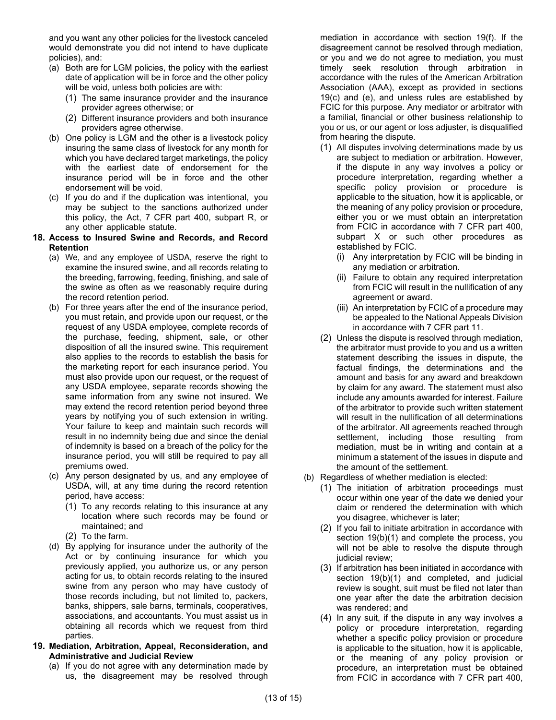and you want any other policies for the livestock canceled would demonstrate you did not intend to have duplicate policies), and:

- (a) Both are for LGM policies, the policy with the earliest date of application will be in force and the other policy will be void, unless both policies are with:
	- (1) The same insurance provider and the insurance provider agrees otherwise; or
	- (2) Different insurance providers and both insurance providers agree otherwise.
- (b) One policy is LGM and the other is a livestock policy insuring the same class of livestock for any month for which you have declared target marketings, the policy with the earliest date of endorsement for the insurance period will be in force and the other endorsement will be void.
- (c) If you do and if the duplication was intentional, you may be subject to the sanctions authorized under this policy, the Act, 7 CFR part 400, subpart R, or any other applicable statute.

#### **18. Access to Insured Swine and Records, and Record Retention**

- (a) We, and any employee of USDA, reserve the right to examine the insured swine, and all records relating to the breeding, farrowing, feeding, finishing, and sale of the swine as often as we reasonably require during the record retention period.
- (b) For three years after the end of the insurance period, you must retain, and provide upon our request, or the request of any USDA employee, complete records of the purchase, feeding, shipment, sale, or other disposition of all the insured swine. This requirement also applies to the records to establish the basis for the marketing report for each insurance period. You must also provide upon our request, or the request of any USDA employee, separate records showing the same information from any swine not insured. We may extend the record retention period beyond three years by notifying you of such extension in writing. Your failure to keep and maintain such records will result in no indemnity being due and since the denial of indemnity is based on a breach of the policy for the insurance period, you will still be required to pay all premiums owed.
- (c) Any person designated by us, and any employee of USDA, will, at any time during the record retention period, have access:
	- (1) To any records relating to this insurance at any location where such records may be found or maintained; and
	- (2) To the farm.
- (d) By applying for insurance under the authority of the Act or by continuing insurance for which you previously applied, you authorize us, or any person acting for us, to obtain records relating to the insured swine from any person who may have custody of those records including, but not limited to, packers, banks, shippers, sale barns, terminals, cooperatives, associations, and accountants. You must assist us in obtaining all records which we request from third parties.

### **19. Mediation, Arbitration, Appeal, Reconsideration, and Administrative and Judicial Review**

(a) If you do not agree with any determination made by us, the disagreement may be resolved through mediation in accordance with section [19\(f\).](#page-14-1) If the disagreement cannot be resolved through mediation, or you and we do not agree to mediation, you must timely seek resolution through arbitration in accordance with the rules of the American Arbitration Association (AAA), except as provided in sections [19\(c\)](#page-14-2) and [\(e\),](#page-14-3) and unless rules are established by FCIC for this purpose. Any mediator or arbitrator with a familial, financial or other business relationship to you or us, or our agent or loss adjuster, is disqualified from hearing the dispute.

- (1) All disputes involving determinations made by us are subject to mediation or arbitration. However, if the dispute in any way involves a policy or procedure interpretation, regarding whether a specific policy provision or procedure is applicable to the situation, how it is applicable, or the meaning of any policy provision or procedure, either you or we must obtain an interpretation from FCIC in accordance with 7 CFR part 400, subpart X or such other procedures as established by FCIC.
	- (i) Any interpretation by FCIC will be binding in any mediation or arbitration.
	- (ii) Failure to obtain any required interpretation from FCIC will result in the nullification of any agreement or award.
	- (iii) An interpretation by FCIC of a procedure may be appealed to the National Appeals Division in accordance with 7 CFR part 11.
- (2) Unless the dispute is resolved through mediation, the arbitrator must provide to you and us a written statement describing the issues in dispute, the factual findings, the determinations and the amount and basis for any award and breakdown by claim for any award. The statement must also include any amounts awarded for interest. Failure of the arbitrator to provide such written statement will result in the nullification of all determinations of the arbitrator. All agreements reached through settlement, including those resulting from mediation, must be in writing and contain at a minimum a statement of the issues in dispute and the amount of the settlement.
- <span id="page-13-1"></span><span id="page-13-0"></span>(b) Regardless of whether mediation is elected:
	- (1) The initiation of arbitration proceedings must occur within one year of the date we denied your claim or rendered the determination with which you disagree, whichever is later;
	- (2) If you fail to initiate arbitration in accordance with section [19\(b\)\(1\)](#page-13-0) and complete the process, you will not be able to resolve the dispute through judicial review;
	- (3) If arbitration has been initiated in accordance with section [19\(b\)\(1\)](#page-13-0) and completed, and judicial review is sought, suit must be filed not later than one year after the date the arbitration decision was rendered; and
	- (4) In any suit, if the dispute in any way involves a policy or procedure interpretation, regarding whether a specific policy provision or procedure is applicable to the situation, how it is applicable, or the meaning of any policy provision or procedure, an interpretation must be obtained from FCIC in accordance with 7 CFR part 400,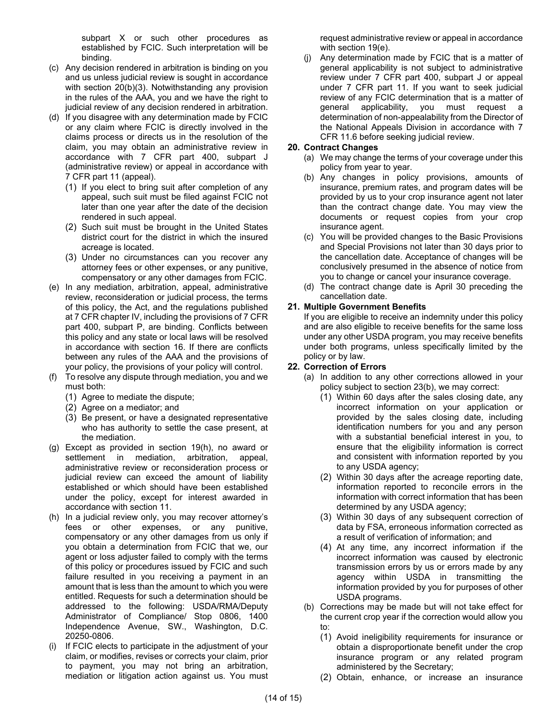subpart X or such other procedures as established by FCIC. Such interpretation will be binding.

- <span id="page-14-2"></span>(c) Any decision rendered in arbitration is binding on you and us unless judicial review is sought in accordance with section [20\(b\)\(3\).](#page-13-1) Notwithstanding any provision in the rules of the AAA, you and we have the right to judicial review of any decision rendered in arbitration.
- (d) If you disagree with any determination made by FCIC or any claim where FCIC is directly involved in the claims process or directs us in the resolution of the claim, you may obtain an administrative review in accordance with 7 CFR part 400, subpart J (administrative review) or appeal in accordance with 7 CFR part 11 (appeal).
	- (1) If you elect to bring suit after completion of any appeal, such suit must be filed against FCIC not later than one year after the date of the decision rendered in such appeal.
	- (2) Such suit must be brought in the United States district court for the district in which the insured acreage is located.
	- (3) Under no circumstances can you recover any attorney fees or other expenses, or any punitive, compensatory or any other damages from FCIC.
- <span id="page-14-3"></span>(e) In any mediation, arbitration, appeal, administrative review, reconsideration or judicial process, the terms of this policy, the Act, and the regulations published at 7 CFR chapter IV, including the provisions of 7 CFR part 400, subpart P, are binding. Conflicts between this policy and any state or local laws will be resolved in accordance with section 16. If there are conflicts between any rules of the AAA and the provisions of your policy, the provisions of your policy will control.
- <span id="page-14-1"></span>(f) To resolve any dispute through mediation, you and we must both:
	- (1) Agree to mediate the dispute;
	- (2) Agree on a mediator; and
	- (3) Be present, or have a designated representative who has authority to settle the case present, at the mediation.
- (g) Except as provided in section [19\(h\),](#page-14-4) no award or settlement in mediation, arbitration, appeal, administrative review or reconsideration process or judicial review can exceed the amount of liability established or which should have been established under the policy, except for interest awarded in accordance with section [11.](#page-11-0)
- <span id="page-14-4"></span>(h) In a judicial review only, you may recover attorney's fees or other expenses, or any punitive, compensatory or any other damages from us only if you obtain a determination from FCIC that we, our agent or loss adjuster failed to comply with the terms of this policy or procedures issued by FCIC and such failure resulted in you receiving a payment in an amount that is less than the amount to which you were entitled. Requests for such a determination should be addressed to the following: USDA/RMA/Deputy Administrator of Compliance/ Stop 0806, 1400 Independence Avenue, SW., Washington, D.C. 20250-0806.
- (i) If FCIC elects to participate in the adjustment of your claim, or modifies, revises or corrects your claim, prior to payment, you may not bring an arbitration, mediation or litigation action against us. You must

request administrative review or appeal in accordance with section [19\(e\).](#page-14-3)

(j) Any determination made by FCIC that is a matter of general applicability is not subject to administrative review under 7 CFR part 400, subpart J or appeal under 7 CFR part 11. If you want to seek judicial review of any FCIC determination that is a matter of general applicability, you must request a determination of non-appealability from the Director of the National Appeals Division in accordance with 7 CFR 11.6 before seeking judicial review.

### <span id="page-14-0"></span>**20. Contract Changes**

- (a) We may change the terms of your coverage under this policy from year to year.
- (b) Any changes in policy provisions, amounts of insurance, premium rates, and program dates will be provided by us to your crop insurance agent not later than the contract change date. You may view the documents or request copies from your crop insurance agent.
- (c) You will be provided changes to the Basic Provisions and Special Provisions not later than 30 days prior to the cancellation date. Acceptance of changes will be conclusively presumed in the absence of notice from you to change or cancel your insurance coverage.
- (d) The contract change date is April 30 preceding the cancellation date.

### **21. Multiple Government Benefits**

If you are eligible to receive an indemnity under this policy and are also eligible to receive benefits for the same loss under any other USDA program, you may receive benefits under both programs, unless specifically limited by the policy or by law.

### **22. Correction of Errors**

- (a) In addition to any other corrections allowed in your policy subject to section [23\(b\),](#page-14-5) we may correct:
	- (1) Within 60 days after the sales closing date, any incorrect information on your application or provided by the sales closing date, including identification numbers for you and any person with a substantial beneficial interest in you, to ensure that the eligibility information is correct and consistent with information reported by you to any USDA agency;
	- (2) Within 30 days after the acreage reporting date, information reported to reconcile errors in the information with correct information that has been determined by any USDA agency;
	- (3) Within 30 days of any subsequent correction of data by FSA, erroneous information corrected as a result of verification of information; and
	- (4) At any time, any incorrect information if the incorrect information was caused by electronic transmission errors by us or errors made by any agency within USDA in transmitting the information provided by you for purposes of other USDA programs.
- <span id="page-14-5"></span>(b) Corrections may be made but will not take effect for the current crop year if the correction would allow you to:
	- (1) Avoid ineligibility requirements for insurance or obtain a disproportionate benefit under the crop insurance program or any related program administered by the Secretary;
	- (2) Obtain, enhance, or increase an insurance